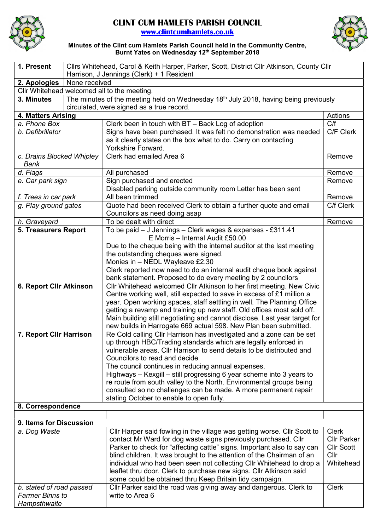

## CLINT CUM HAMLETS PARISH COUNCIL

www.clintcumhamlets.co.uk



## Minutes of the Clint cum Hamlets Parish Council held in the Community Centre, Burnt Yates on Wednesday 12<sup>th</sup> September 2018

| 1. Present                                                                                         |                                             | Cllrs Whitehead, Carol & Keith Harper, Parker, Scott, District Cllr Atkinson, County Cllr                     |                    |  |
|----------------------------------------------------------------------------------------------------|---------------------------------------------|---------------------------------------------------------------------------------------------------------------|--------------------|--|
|                                                                                                    |                                             | Harrison, J Jennings (Clerk) + 1 Resident                                                                     |                    |  |
| 2. Apologies                                                                                       | None received                               |                                                                                                               |                    |  |
|                                                                                                    | Cllr Whitehead welcomed all to the meeting. |                                                                                                               |                    |  |
| The minutes of the meeting held on Wednesday 18th July 2018, having being previously<br>3. Minutes |                                             |                                                                                                               |                    |  |
|                                                                                                    |                                             | circulated, were signed as a true record.                                                                     |                    |  |
| 4. Matters Arising                                                                                 |                                             |                                                                                                               | Actions            |  |
| a. Phone Box                                                                                       |                                             | Clerk been in touch with BT – Back Log of adoption                                                            | C/f                |  |
| b. Defibrillator                                                                                   |                                             | Signs have been purchased. It was felt no demonstration was needed                                            | C/F Clerk          |  |
|                                                                                                    |                                             | as it clearly states on the box what to do. Carry on contacting                                               |                    |  |
|                                                                                                    |                                             | Yorkshire Forward.                                                                                            |                    |  |
| c. Drains Blocked Whipley                                                                          |                                             | Clerk had emailed Area 6                                                                                      | Remove             |  |
| Bank                                                                                               |                                             |                                                                                                               |                    |  |
| d. Flags                                                                                           |                                             | All purchased                                                                                                 | Remove             |  |
| e. Car park sign                                                                                   |                                             | Sign purchased and erected                                                                                    | Remove             |  |
|                                                                                                    |                                             | Disabled parking outside community room Letter has been sent                                                  |                    |  |
| f. Trees in car park                                                                               |                                             | All been trimmed                                                                                              | Remove             |  |
| g. Play ground gates                                                                               |                                             | Quote had been received Clerk to obtain a further quote and email                                             | C/f Clerk          |  |
|                                                                                                    |                                             | Councilors as need doing asap                                                                                 |                    |  |
| h. Graveyard                                                                                       |                                             | To be dealt with direct                                                                                       | Remove             |  |
| <b>5. Treasurers Report</b>                                                                        |                                             | To be paid - J Jennings - Clerk wages & expenses - £311.41<br>E Morris - Internal Audit £50.00                |                    |  |
|                                                                                                    |                                             |                                                                                                               |                    |  |
|                                                                                                    |                                             | Due to the cheque being with the internal auditor at the last meeting<br>the outstanding cheques were signed. |                    |  |
|                                                                                                    |                                             | Monies in - NEDL Wayleave £2.30                                                                               |                    |  |
|                                                                                                    |                                             | Clerk reported now need to do an internal audit cheque book against                                           |                    |  |
|                                                                                                    |                                             | bank statement. Proposed to do every meeting by 2 councilors                                                  |                    |  |
| 6. Report Cllr Atkinson                                                                            |                                             | Cllr Whitehead welcomed Cllr Atkinson to her first meeting. New Civic                                         |                    |  |
|                                                                                                    |                                             | Centre working well, still expected to save in excess of £1 million a                                         |                    |  |
|                                                                                                    |                                             | year. Open working spaces, staff settling in well. The Planning Office                                        |                    |  |
|                                                                                                    |                                             | getting a revamp and training up new staff. Old offices most sold off.                                        |                    |  |
|                                                                                                    |                                             | Main building still negotiating and cannot disclose. Last year target for                                     |                    |  |
|                                                                                                    |                                             | new builds in Harrogate 669 actual 598. New Plan been submitted.                                              |                    |  |
| 7. Report CIIr Harrison                                                                            |                                             | Re Cold calling Cllr Harrison has investigated and a zone can be set                                          |                    |  |
|                                                                                                    |                                             | up through HBC/Trading standards which are legally enforced in                                                |                    |  |
|                                                                                                    |                                             | vulnerable areas. Cllr Harrison to send details to be distributed and                                         |                    |  |
|                                                                                                    |                                             | Councilors to read and decide                                                                                 |                    |  |
|                                                                                                    |                                             | The council continues in reducing annual expenses.                                                            |                    |  |
|                                                                                                    |                                             | Highways – Kexgill – still progressing 6 year scheme into 3 years to                                          |                    |  |
|                                                                                                    |                                             | re route from south valley to the North. Environmental groups being                                           |                    |  |
|                                                                                                    |                                             | consulted so no challenges can be made. A more permanent repair                                               |                    |  |
|                                                                                                    |                                             | stating October to enable to open fully.                                                                      |                    |  |
| 8. Correspondence                                                                                  |                                             |                                                                                                               |                    |  |
|                                                                                                    |                                             |                                                                                                               |                    |  |
| 9. Items for Discussion<br>a. Dog Waste                                                            |                                             | Cllr Harper said fowling in the village was getting worse. Cllr Scott to                                      | <b>Clerk</b>       |  |
|                                                                                                    |                                             | contact Mr Ward for dog waste signs previously purchased. Cllr                                                | <b>Cllr Parker</b> |  |
|                                                                                                    |                                             | Parker to check for "affecting cattle" signs. Important also to say can                                       | <b>Cllr Scott</b>  |  |
|                                                                                                    |                                             | blind children. It was brought to the attention of the Chairman of an                                         | Cllr               |  |
|                                                                                                    |                                             | individual who had been seen not collecting Cllr Whitehead to drop a                                          | Whitehead          |  |
|                                                                                                    |                                             | leaflet thru door. Clerk to purchase new signs. Cllr Atkinson said                                            |                    |  |
|                                                                                                    |                                             | some could be obtained thru Keep Britain tidy campaign.                                                       |                    |  |
| b. stated of road passed                                                                           |                                             | Cllr Parker said the road was giving away and dangerous. Clerk to                                             | <b>Clerk</b>       |  |
| <b>Farmer Binns to</b>                                                                             |                                             | write to Area 6                                                                                               |                    |  |
| Hampsthwaite                                                                                       |                                             |                                                                                                               |                    |  |
|                                                                                                    |                                             |                                                                                                               |                    |  |